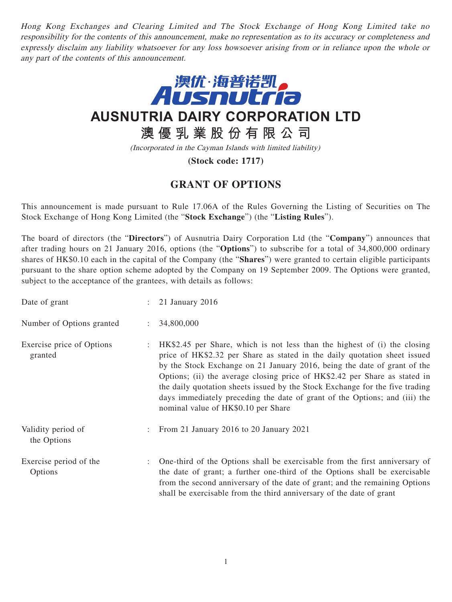Hong Kong Exchanges and Clearing Limited and The Stock Exchange of Hong Kong Limited take no responsibility for the contents of this announcement, make no representation as to its accuracy or completeness and expressly disclaim any liability whatsoever for any loss howsoever arising from or in reliance upon the whole or any part of the contents of this announcement.



**AUSNUTRIA DAIRY CORPORATION LTD**

**澳優乳業股份有限公司**

(Incorporated in the Cayman Islands with limited liability)

**(Stock code: 1717)**

## **GRANT OF OPTIONS**

This announcement is made pursuant to Rule 17.06A of the Rules Governing the Listing of Securities on The Stock Exchange of Hong Kong Limited (the "**Stock Exchange**") (the "**Listing Rules**").

The board of directors (the "**Directors**") of Ausnutria Dairy Corporation Ltd (the "**Company**") announces that after trading hours on 21 January 2016, options (the "**Options**") to subscribe for a total of 34,800,000 ordinary shares of HK\$0.10 each in the capital of the Company (the "**Shares**") were granted to certain eligible participants pursuant to the share option scheme adopted by the Company on 19 September 2009. The Options were granted, subject to the acceptance of the grantees, with details as follows:

| Date of grant                        |                           | : 21 January 2016                                                                                                                                                                                                                                                                                                                                                                                                                                                                                                     |
|--------------------------------------|---------------------------|-----------------------------------------------------------------------------------------------------------------------------------------------------------------------------------------------------------------------------------------------------------------------------------------------------------------------------------------------------------------------------------------------------------------------------------------------------------------------------------------------------------------------|
| Number of Options granted            | $\mathbb{R}^{\mathbb{Z}}$ | 34,800,000                                                                                                                                                                                                                                                                                                                                                                                                                                                                                                            |
| Exercise price of Options<br>granted |                           | HK\$2.45 per Share, which is not less than the highest of (i) the closing<br>price of HK\$2.32 per Share as stated in the daily quotation sheet issued<br>by the Stock Exchange on 21 January 2016, being the date of grant of the<br>Options; (ii) the average closing price of HK\$2.42 per Share as stated in<br>the daily quotation sheets issued by the Stock Exchange for the five trading<br>days immediately preceding the date of grant of the Options; and (iii) the<br>nominal value of HK\$0.10 per Share |
| Validity period of<br>the Options    |                           | : From 21 January 2016 to 20 January 2021                                                                                                                                                                                                                                                                                                                                                                                                                                                                             |
| Exercise period of the<br>Options    |                           | One-third of the Options shall be exercisable from the first anniversary of<br>the date of grant; a further one-third of the Options shall be exercisable<br>from the second anniversary of the date of grant; and the remaining Options                                                                                                                                                                                                                                                                              |

shall be exercisable from the third anniversary of the date of grant